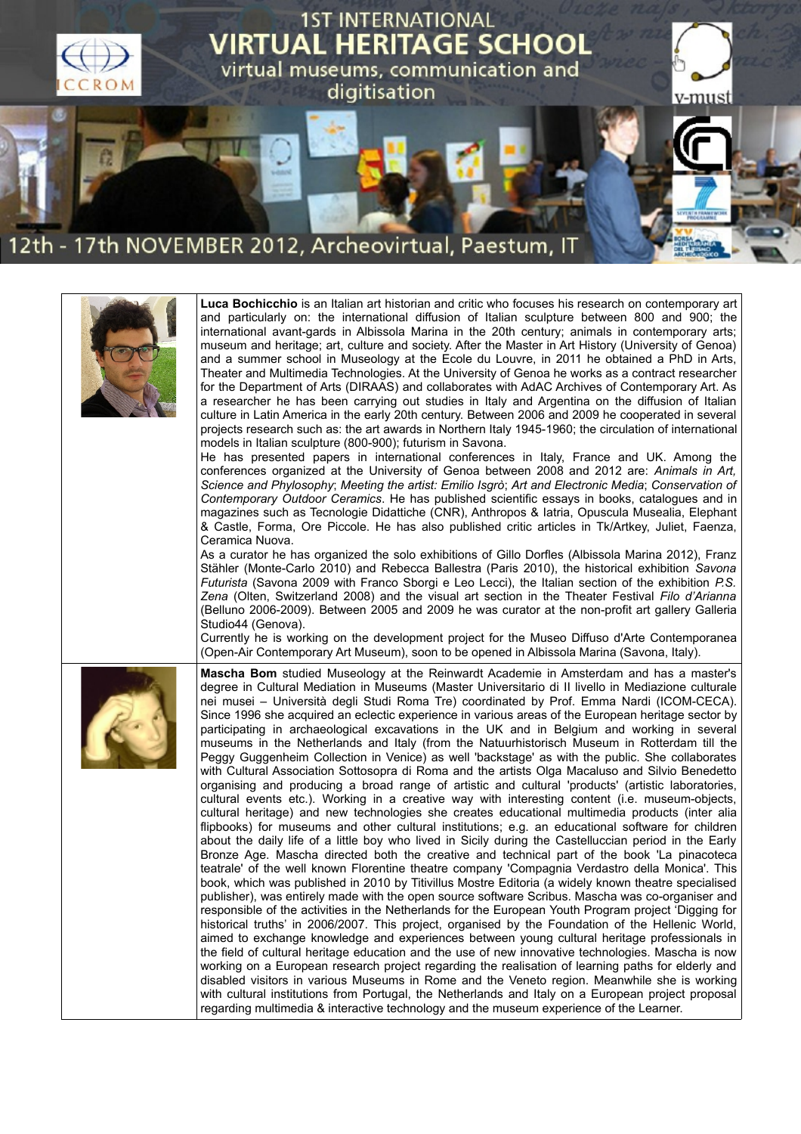

| Luca Bochicchio is an Italian art historian and critic who focuses his research on contemporary art<br>and particularly on: the international diffusion of Italian sculpture between 800 and 900; the<br>international avant-gards in Albissola Marina in the 20th century; animals in contemporary arts;<br>museum and heritage; art, culture and society. After the Master in Art History (University of Genoa)<br>and a summer school in Museology at the Ecole du Louvre, in 2011 he obtained a PhD in Arts,<br>Theater and Multimedia Technologies. At the University of Genoa he works as a contract researcher<br>for the Department of Arts (DIRAAS) and collaborates with AdAC Archives of Contemporary Art. As<br>a researcher he has been carrying out studies in Italy and Argentina on the diffusion of Italian<br>culture in Latin America in the early 20th century. Between 2006 and 2009 he cooperated in several<br>projects research such as: the art awards in Northern Italy 1945-1960; the circulation of international<br>models in Italian sculpture (800-900); futurism in Savona.<br>He has presented papers in international conferences in Italy, France and UK. Among the<br>conferences organized at the University of Genoa between 2008 and 2012 are: Animals in Art,<br>Science and Phylosophy; Meeting the artist: Emilio Isgrò; Art and Electronic Media; Conservation of<br>Contemporary Outdoor Ceramics. He has published scientific essays in books, catalogues and in<br>magazines such as Tecnologie Didattiche (CNR), Anthropos & Iatria, Opuscula Musealia, Elephant<br>& Castle, Forma, Ore Piccole. He has also published critic articles in Tk/Artkey, Juliet, Faenza,<br>Ceramica Nuova.<br>As a curator he has organized the solo exhibitions of Gillo Dorfles (Albissola Marina 2012), Franz<br>Stähler (Monte-Carlo 2010) and Rebecca Ballestra (Paris 2010), the historical exhibition Savona<br>Futurista (Savona 2009 with Franco Sborgi e Leo Lecci), the Italian section of the exhibition P.S.<br>Zena (Olten, Switzerland 2008) and the visual art section in the Theater Festival Filo d'Arianna<br>(Belluno 2006-2009). Between 2005 and 2009 he was curator at the non-profit art gallery Galleria<br>Studio44 (Genova).<br>Currently he is working on the development project for the Museo Diffuso d'Arte Contemporanea<br>(Open-Air Contemporary Art Museum), soon to be opened in Albissola Marina (Savona, Italy).                                                                                    |
|------------------------------------------------------------------------------------------------------------------------------------------------------------------------------------------------------------------------------------------------------------------------------------------------------------------------------------------------------------------------------------------------------------------------------------------------------------------------------------------------------------------------------------------------------------------------------------------------------------------------------------------------------------------------------------------------------------------------------------------------------------------------------------------------------------------------------------------------------------------------------------------------------------------------------------------------------------------------------------------------------------------------------------------------------------------------------------------------------------------------------------------------------------------------------------------------------------------------------------------------------------------------------------------------------------------------------------------------------------------------------------------------------------------------------------------------------------------------------------------------------------------------------------------------------------------------------------------------------------------------------------------------------------------------------------------------------------------------------------------------------------------------------------------------------------------------------------------------------------------------------------------------------------------------------------------------------------------------------------------------------------------------------------------------------------------------------------------------------------------------------------------------------------------------------------------------------------------------------------------------------------------------------------------------------------------------------------------------------------------------------------------------------------------------------------------------------------------------------------------------------------------------------------------------------------------------|
| Mascha Bom studied Museology at the Reinwardt Academie in Amsterdam and has a master's<br>degree in Cultural Mediation in Museums (Master Universitario di Il livello in Mediazione culturale<br>nei musei – Università degli Studi Roma Tre) coordinated by Prof. Emma Nardi (ICOM-CECA).<br>Since 1996 she acquired an eclectic experience in various areas of the European heritage sector by<br>participating in archaeological excavations in the UK and in Belgium and working in several<br>museums in the Netherlands and Italy (from the Natuurhistorisch Museum in Rotterdam till the<br>Peggy Guggenheim Collection in Venice) as well 'backstage' as with the public. She collaborates<br>with Cultural Association Sottosopra di Roma and the artists Olga Macaluso and Silvio Benedetto<br>organising and producing a broad range of artistic and cultural 'products' (artistic laboratories,<br>cultural events etc.). Working in a creative way with interesting content (i.e. museum-objects,<br>cultural heritage) and new technologies she creates educational multimedia products (inter alia<br>flipbooks) for museums and other cultural institutions; e.g. an educational software for children<br>about the daily life of a little boy who lived in Sicily during the Castelluccian period in the Early<br>Bronze Age. Mascha directed both the creative and technical part of the book 'La pinacoteca<br>teatrale' of the well known Florentine theatre company 'Compagnia Verdastro della Monica'. This<br>book, which was published in 2010 by Titivillus Mostre Editoria (a widely known theatre specialised<br>publisher), was entirely made with the open source software Scribus. Mascha was co-organiser and<br>responsible of the activities in the Netherlands for the European Youth Program project 'Digging for<br>historical truths' in 2006/2007. This project, organised by the Foundation of the Hellenic World,<br>aimed to exchange knowledge and experiences between young cultural heritage professionals in<br>the field of cultural heritage education and the use of new innovative technologies. Mascha is now<br>working on a European research project regarding the realisation of learning paths for elderly and<br>disabled visitors in various Museums in Rome and the Veneto region. Meanwhile she is working<br>with cultural institutions from Portugal, the Netherlands and Italy on a European project proposal<br>regarding multimedia & interactive technology and the museum experience of the Learner. |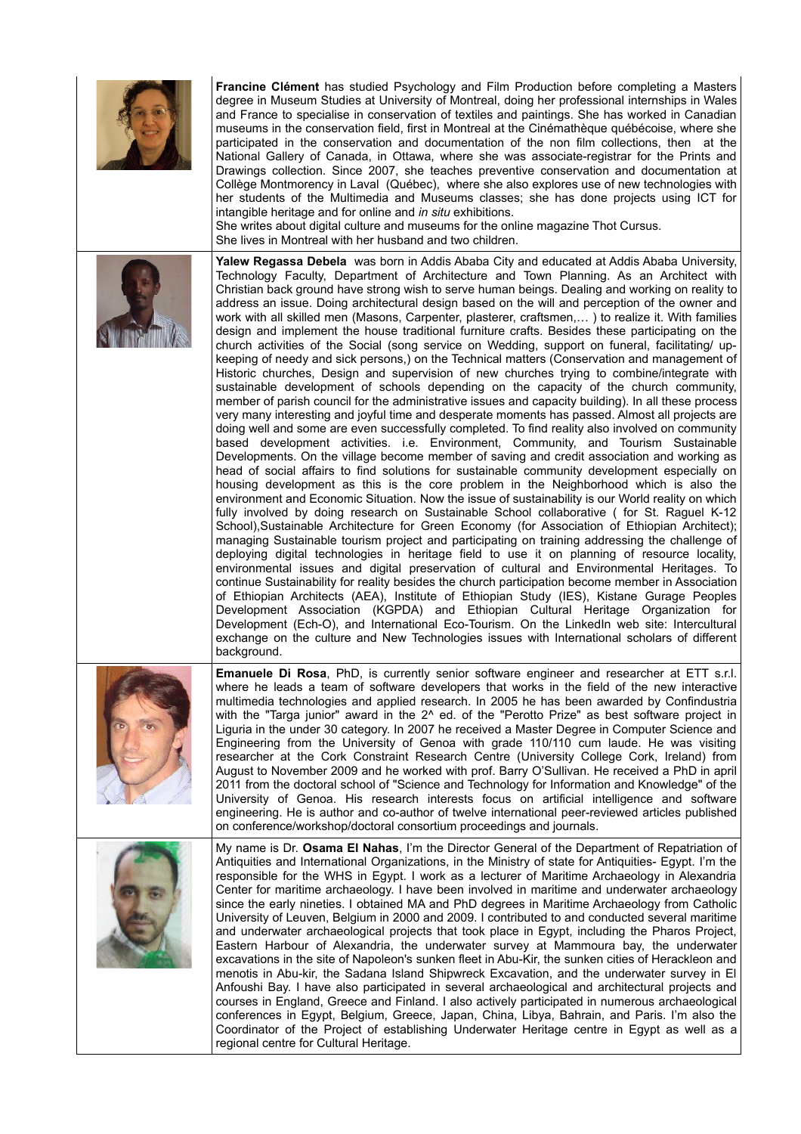| Francine Clément has studied Psychology and Film Production before completing a Masters<br>degree in Museum Studies at University of Montreal, doing her professional internships in Wales<br>and France to specialise in conservation of textiles and paintings. She has worked in Canadian<br>museums in the conservation field, first in Montreal at the Cinémathèque québécoise, where she<br>participated in the conservation and documentation of the non film collections, then at the<br>National Gallery of Canada, in Ottawa, where she was associate-registrar for the Prints and<br>Drawings collection. Since 2007, she teaches preventive conservation and documentation at<br>Collège Montmorency in Laval (Québec), where she also explores use of new technologies with<br>her students of the Multimedia and Museums classes; she has done projects using ICT for<br>intangible heritage and for online and in situ exhibitions.<br>She writes about digital culture and museums for the online magazine Thot Cursus.<br>She lives in Montreal with her husband and two children.                                                                                                                                                                                                                                                                                                                                                                                                                                                                                                                                                                                                                                                                                                                                                                                                                                                                                                                                                                                                                                                                                                                                                                                                                                                                                                                                                                                                                                                                                                                                                                                                                                                                                        |
|--------------------------------------------------------------------------------------------------------------------------------------------------------------------------------------------------------------------------------------------------------------------------------------------------------------------------------------------------------------------------------------------------------------------------------------------------------------------------------------------------------------------------------------------------------------------------------------------------------------------------------------------------------------------------------------------------------------------------------------------------------------------------------------------------------------------------------------------------------------------------------------------------------------------------------------------------------------------------------------------------------------------------------------------------------------------------------------------------------------------------------------------------------------------------------------------------------------------------------------------------------------------------------------------------------------------------------------------------------------------------------------------------------------------------------------------------------------------------------------------------------------------------------------------------------------------------------------------------------------------------------------------------------------------------------------------------------------------------------------------------------------------------------------------------------------------------------------------------------------------------------------------------------------------------------------------------------------------------------------------------------------------------------------------------------------------------------------------------------------------------------------------------------------------------------------------------------------------------------------------------------------------------------------------------------------------------------------------------------------------------------------------------------------------------------------------------------------------------------------------------------------------------------------------------------------------------------------------------------------------------------------------------------------------------------------------------------------------------------------------------------------------------------------------|
| Yalew Regassa Debela was born in Addis Ababa City and educated at Addis Ababa University,<br>Technology Faculty, Department of Architecture and Town Planning. As an Architect with<br>Christian back ground have strong wish to serve human beings. Dealing and working on reality to<br>address an issue. Doing architectural design based on the will and perception of the owner and<br>work with all skilled men (Masons, Carpenter, plasterer, craftsmen,) to realize it. With families<br>design and implement the house traditional furniture crafts. Besides these participating on the<br>church activities of the Social (song service on Wedding, support on funeral, facilitating/ up-<br>keeping of needy and sick persons,) on the Technical matters (Conservation and management of<br>Historic churches, Design and supervision of new churches trying to combine/integrate with<br>sustainable development of schools depending on the capacity of the church community,<br>member of parish council for the administrative issues and capacity building). In all these process<br>very many interesting and joyful time and desperate moments has passed. Almost all projects are<br>doing well and some are even successfully completed. To find reality also involved on community<br>based development activities. i.e. Environment, Community, and Tourism Sustainable<br>Developments. On the village become member of saving and credit association and working as<br>head of social affairs to find solutions for sustainable community development especially on<br>housing development as this is the core problem in the Neighborhood which is also the<br>environment and Economic Situation. Now the issue of sustainability is our World reality on which<br>fully involved by doing research on Sustainable School collaborative (for St. Raguel K-12<br>School), Sustainable Architecture for Green Economy (for Association of Ethiopian Architect);<br>managing Sustainable tourism project and participating on training addressing the challenge of<br>deploying digital technologies in heritage field to use it on planning of resource locality,<br>environmental issues and digital preservation of cultural and Environmental Heritages. To<br>continue Sustainability for reality besides the church participation become member in Association<br>of Ethiopian Architects (AEA), Institute of Ethiopian Study (IES), Kistane Gurage Peoples<br>Development Association (KGPDA) and Ethiopian Cultural Heritage Organization for<br>Development (Ech-O), and International Eco-Tourism. On the LinkedIn web site: Intercultural<br>exchange on the culture and New Technologies issues with International scholars of different<br>background. |
| <b>Emanuele Di Rosa, PhD, is currently senior software engineer and researcher at ETT s.r.l.</b><br>where he leads a team of software developers that works in the field of the new interactive<br>multimedia technologies and applied research. In 2005 he has been awarded by Confindustria<br>with the "Targa junior" award in the 2^ ed. of the "Perotto Prize" as best software project in<br>Liguria in the under 30 category. In 2007 he received a Master Degree in Computer Science and<br>Engineering from the University of Genoa with grade 110/110 cum laude. He was visiting<br>researcher at the Cork Constraint Research Centre (University College Cork, Ireland) from<br>August to November 2009 and he worked with prof. Barry O'Sullivan. He received a PhD in april<br>2011 from the doctoral school of "Science and Technology for Information and Knowledge" of the<br>University of Genoa. His research interests focus on artificial intelligence and software<br>engineering. He is author and co-author of twelve international peer-reviewed articles published<br>on conference/workshop/doctoral consortium proceedings and journals.                                                                                                                                                                                                                                                                                                                                                                                                                                                                                                                                                                                                                                                                                                                                                                                                                                                                                                                                                                                                                                                                                                                                                                                                                                                                                                                                                                                                                                                                                                                                                                                                                        |
| My name is Dr. Osama El Nahas, I'm the Director General of the Department of Repatriation of<br>Antiquities and International Organizations, in the Ministry of state for Antiquities- Egypt. I'm the<br>responsible for the WHS in Egypt. I work as a lecturer of Maritime Archaeology in Alexandria<br>Center for maritime archaeology. I have been involved in maritime and underwater archaeology<br>since the early nineties. I obtained MA and PhD degrees in Maritime Archaeology from Catholic<br>University of Leuven, Belgium in 2000 and 2009. I contributed to and conducted several maritime<br>and underwater archaeological projects that took place in Egypt, including the Pharos Project,<br>Eastern Harbour of Alexandria, the underwater survey at Mammoura bay, the underwater<br>excavations in the site of Napoleon's sunken fleet in Abu-Kir, the sunken cities of Herackleon and<br>menotis in Abu-kir, the Sadana Island Shipwreck Excavation, and the underwater survey in El<br>Anfoushi Bay. I have also participated in several archaeological and architectural projects and<br>courses in England, Greece and Finland. I also actively participated in numerous archaeological<br>conferences in Egypt, Belgium, Greece, Japan, China, Libya, Bahrain, and Paris. I'm also the<br>Coordinator of the Project of establishing Underwater Heritage centre in Egypt as well as a<br>regional centre for Cultural Heritage.                                                                                                                                                                                                                                                                                                                                                                                                                                                                                                                                                                                                                                                                                                                                                                                                                                                                                                                                                                                                                                                                                                                                                                                                                                                                                                                                    |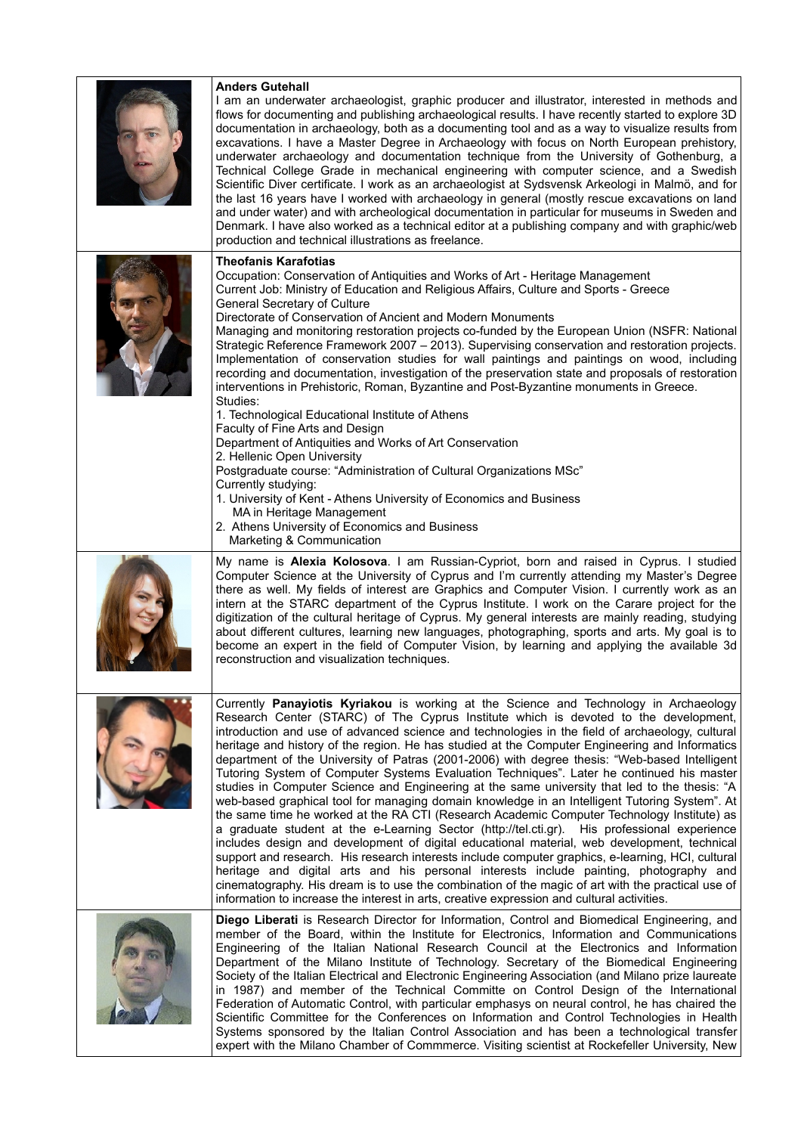| <b>Anders Gutehall</b><br>I am an underwater archaeologist, graphic producer and illustrator, interested in methods and<br>flows for documenting and publishing archaeological results. I have recently started to explore 3D<br>documentation in archaeology, both as a documenting tool and as a way to visualize results from<br>excavations. I have a Master Degree in Archaeology with focus on North European prehistory,<br>underwater archaeology and documentation technique from the University of Gothenburg, a<br>Technical College Grade in mechanical engineering with computer science, and a Swedish<br>Scientific Diver certificate. I work as an archaeologist at Sydsvensk Arkeologi in Malmö, and for<br>the last 16 years have I worked with archaeology in general (mostly rescue excavations on land<br>and under water) and with archeological documentation in particular for museums in Sweden and<br>Denmark. I have also worked as a technical editor at a publishing company and with graphic/web<br>production and technical illustrations as freelance.                                                                                                                                                                                                                                                                                                                                                                                            |
|-----------------------------------------------------------------------------------------------------------------------------------------------------------------------------------------------------------------------------------------------------------------------------------------------------------------------------------------------------------------------------------------------------------------------------------------------------------------------------------------------------------------------------------------------------------------------------------------------------------------------------------------------------------------------------------------------------------------------------------------------------------------------------------------------------------------------------------------------------------------------------------------------------------------------------------------------------------------------------------------------------------------------------------------------------------------------------------------------------------------------------------------------------------------------------------------------------------------------------------------------------------------------------------------------------------------------------------------------------------------------------------------------------------------------------------------------------------------------------------|
| <b>Theofanis Karafotias</b><br>Occupation: Conservation of Antiquities and Works of Art - Heritage Management<br>Current Job: Ministry of Education and Religious Affairs, Culture and Sports - Greece<br>General Secretary of Culture<br>Directorate of Conservation of Ancient and Modern Monuments<br>Managing and monitoring restoration projects co-funded by the European Union (NSFR: National<br>Strategic Reference Framework 2007 - 2013). Supervising conservation and restoration projects.<br>Implementation of conservation studies for wall paintings and paintings on wood, including<br>recording and documentation, investigation of the preservation state and proposals of restoration<br>interventions in Prehistoric, Roman, Byzantine and Post-Byzantine monuments in Greece.<br>Studies:<br>1. Technological Educational Institute of Athens<br>Faculty of Fine Arts and Design<br>Department of Antiquities and Works of Art Conservation<br>2. Hellenic Open University<br>Postgraduate course: "Administration of Cultural Organizations MSc"<br>Currently studying:<br>1. University of Kent - Athens University of Economics and Business<br>MA in Heritage Management<br>2. Athens University of Economics and Business<br>Marketing & Communication                                                                                                                                                                                                |
| My name is Alexia Kolosova. I am Russian-Cypriot, born and raised in Cyprus. I studied<br>Computer Science at the University of Cyprus and I'm currently attending my Master's Degree<br>there as well. My fields of interest are Graphics and Computer Vision. I currently work as an<br>intern at the STARC department of the Cyprus Institute. I work on the Carare project for the<br>digitization of the cultural heritage of Cyprus. My general interests are mainly reading, studying<br>about different cultures, learning new languages, photographing, sports and arts. My goal is to<br>become an expert in the field of Computer Vision, by learning and applying the available 3d<br>reconstruction and visualization techniques.                                                                                                                                                                                                                                                                                                                                                                                                                                                                                                                                                                                                                                                                                                                                    |
| Currently Panayiotis Kyriakou is working at the Science and Technology in Archaeology<br>Research Center (STARC) of The Cyprus Institute which is devoted to the development,<br>introduction and use of advanced science and technologies in the field of archaeology, cultural<br>heritage and history of the region. He has studied at the Computer Engineering and Informatics<br>department of the University of Patras (2001-2006) with degree thesis: "Web-based Intelligent<br>Tutoring System of Computer Systems Evaluation Techniques". Later he continued his master<br>studies in Computer Science and Engineering at the same university that led to the thesis: "A<br>web-based graphical tool for managing domain knowledge in an Intelligent Tutoring System". At<br>the same time he worked at the RA CTI (Research Academic Computer Technology Institute) as<br>a graduate student at the e-Learning Sector (http://tel.cti.gr). His professional experience<br>includes design and development of digital educational material, web development, technical<br>support and research. His research interests include computer graphics, e-learning, HCI, cultural<br>heritage and digital arts and his personal interests include painting, photography and<br>cinematography. His dream is to use the combination of the magic of art with the practical use of<br>information to increase the interest in arts, creative expression and cultural activities. |
| Diego Liberati is Research Director for Information, Control and Biomedical Engineering, and<br>member of the Board, within the Institute for Electronics, Information and Communications<br>Engineering of the Italian National Research Council at the Electronics and Information<br>Department of the Milano Institute of Technology. Secretary of the Biomedical Engineering<br>Society of the Italian Electrical and Electronic Engineering Association (and Milano prize laureate<br>in 1987) and member of the Technical Committe on Control Design of the International<br>Federation of Automatic Control, with particular emphasys on neural control, he has chaired the<br>Scientific Committee for the Conferences on Information and Control Technologies in Health<br>Systems sponsored by the Italian Control Association and has been a technological transfer<br>expert with the Milano Chamber of Commmerce. Visiting scientist at Rockefeller University, New                                                                                                                                                                                                                                                                                                                                                                                                                                                                                                 |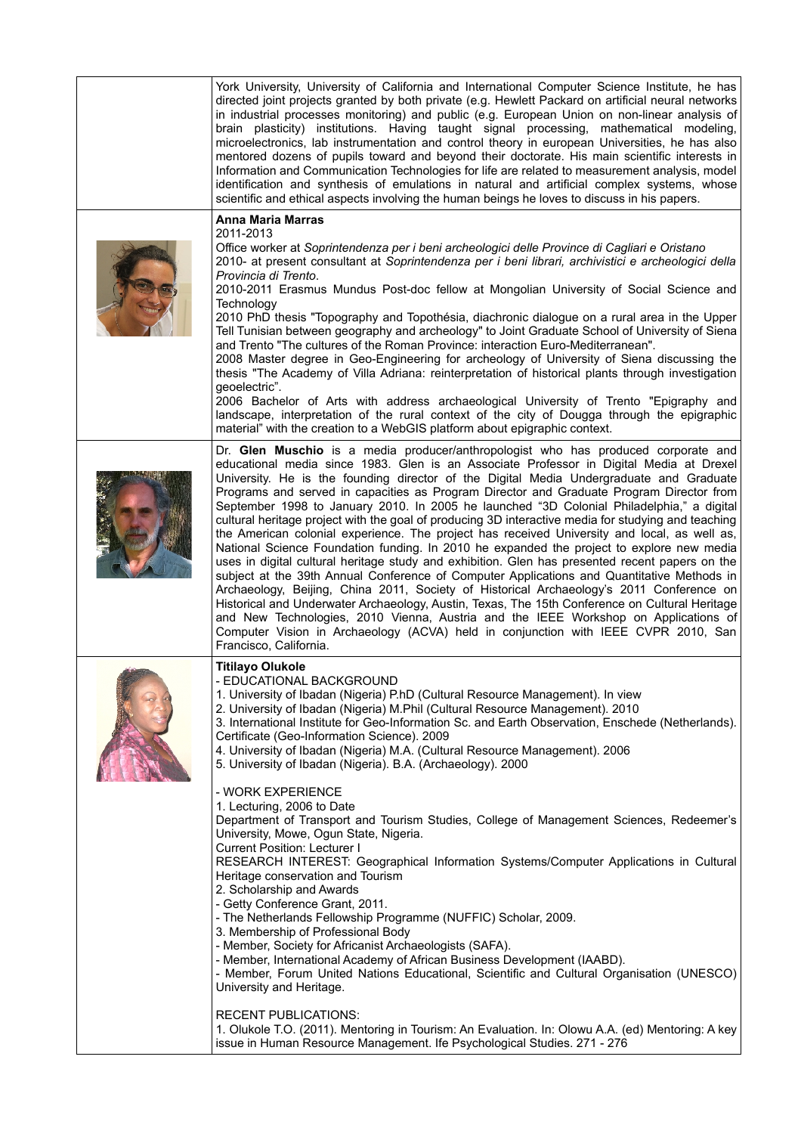| York University, University of California and International Computer Science Institute, he has<br>directed joint projects granted by both private (e.g. Hewlett Packard on artificial neural networks<br>in industrial processes monitoring) and public (e.g. European Union on non-linear analysis of<br>brain plasticity) institutions. Having taught signal processing, mathematical modeling,<br>microelectronics, lab instrumentation and control theory in european Universities, he has also<br>mentored dozens of pupils toward and beyond their doctorate. His main scientific interests in<br>Information and Communication Technologies for life are related to measurement analysis, model<br>identification and synthesis of emulations in natural and artificial complex systems, whose<br>scientific and ethical aspects involving the human beings he loves to discuss in his papers.                                                                                                                                                                                                                                                                                                                                                                                                                                                                                                                                                                                                                                         |
|-----------------------------------------------------------------------------------------------------------------------------------------------------------------------------------------------------------------------------------------------------------------------------------------------------------------------------------------------------------------------------------------------------------------------------------------------------------------------------------------------------------------------------------------------------------------------------------------------------------------------------------------------------------------------------------------------------------------------------------------------------------------------------------------------------------------------------------------------------------------------------------------------------------------------------------------------------------------------------------------------------------------------------------------------------------------------------------------------------------------------------------------------------------------------------------------------------------------------------------------------------------------------------------------------------------------------------------------------------------------------------------------------------------------------------------------------------------------------------------------------------------------------------------------------|
| <b>Anna Maria Marras</b><br>2011-2013<br>Office worker at Soprintendenza per i beni archeologici delle Province di Cagliari e Oristano<br>2010- at present consultant at Soprintendenza per i beni librari, archivistici e archeologici della<br>Provincia di Trento.<br>2010-2011 Erasmus Mundus Post-doc fellow at Mongolian University of Social Science and<br>Technology<br>2010 PhD thesis "Topography and Topothésia, diachronic dialogue on a rural area in the Upper<br>Tell Tunisian between geography and archeology" to Joint Graduate School of University of Siena<br>and Trento "The cultures of the Roman Province: interaction Euro-Mediterranean".<br>2008 Master degree in Geo-Engineering for archeology of University of Siena discussing the<br>thesis "The Academy of Villa Adriana: reinterpretation of historical plants through investigation<br>geoelectric".<br>2006 Bachelor of Arts with address archaeological University of Trento "Epigraphy and<br>landscape, interpretation of the rural context of the city of Dougga through the epigraphic<br>material" with the creation to a WebGIS platform about epigraphic context.                                                                                                                                                                                                                                                                                                                                                                                |
| Dr. Glen Muschio is a media producer/anthropologist who has produced corporate and<br>educational media since 1983. Glen is an Associate Professor in Digital Media at Drexel<br>University. He is the founding director of the Digital Media Undergraduate and Graduate<br>Programs and served in capacities as Program Director and Graduate Program Director from<br>September 1998 to January 2010. In 2005 he launched "3D Colonial Philadelphia," a digital<br>cultural heritage project with the goal of producing 3D interactive media for studying and teaching<br>the American colonial experience. The project has received University and local, as well as,<br>National Science Foundation funding. In 2010 he expanded the project to explore new media<br>uses in digital cultural heritage study and exhibition. Glen has presented recent papers on the<br>subject at the 39th Annual Conference of Computer Applications and Quantitative Methods in<br>Archaeology, Beijing, China 2011, Society of Historical Archaeology's 2011 Conference on<br>Historical and Underwater Archaeology, Austin, Texas, The 15th Conference on Cultural Heritage<br>and New Technologies, 2010 Vienna, Austria and the IEEE Workshop on Applications of<br>Computer Vision in Archaeology (ACVA) held in conjunction with IEEE CVPR 2010, San<br>Francisco, California.                                                                                                                                                                   |
| <b>Titilayo Olukole</b><br>- EDUCATIONAL BACKGROUND<br>1. University of Ibadan (Nigeria) P.hD (Cultural Resource Management). In view<br>2. University of Ibadan (Nigeria) M.Phil (Cultural Resource Management). 2010<br>3. International Institute for Geo-Information Sc. and Earth Observation, Enschede (Netherlands).<br>Certificate (Geo-Information Science). 2009<br>4. University of Ibadan (Nigeria) M.A. (Cultural Resource Management). 2006<br>5. University of Ibadan (Nigeria). B.A. (Archaeology). 2000<br>- WORK EXPERIENCE<br>1. Lecturing, 2006 to Date<br>Department of Transport and Tourism Studies, College of Management Sciences, Redeemer's<br>University, Mowe, Ogun State, Nigeria.<br><b>Current Position: Lecturer I</b><br>RESEARCH INTEREST: Geographical Information Systems/Computer Applications in Cultural<br>Heritage conservation and Tourism<br>2. Scholarship and Awards<br>- Getty Conference Grant, 2011.<br>- The Netherlands Fellowship Programme (NUFFIC) Scholar, 2009.<br>3. Membership of Professional Body<br>- Member, Society for Africanist Archaeologists (SAFA).<br>- Member, International Academy of African Business Development (IAABD).<br>- Member, Forum United Nations Educational, Scientific and Cultural Organisation (UNESCO)<br>University and Heritage.<br><b>RECENT PUBLICATIONS:</b><br>1. Olukole T.O. (2011). Mentoring in Tourism: An Evaluation. In: Olowu A.A. (ed) Mentoring: A key<br>issue in Human Resource Management. Ife Psychological Studies. 271 - 276 |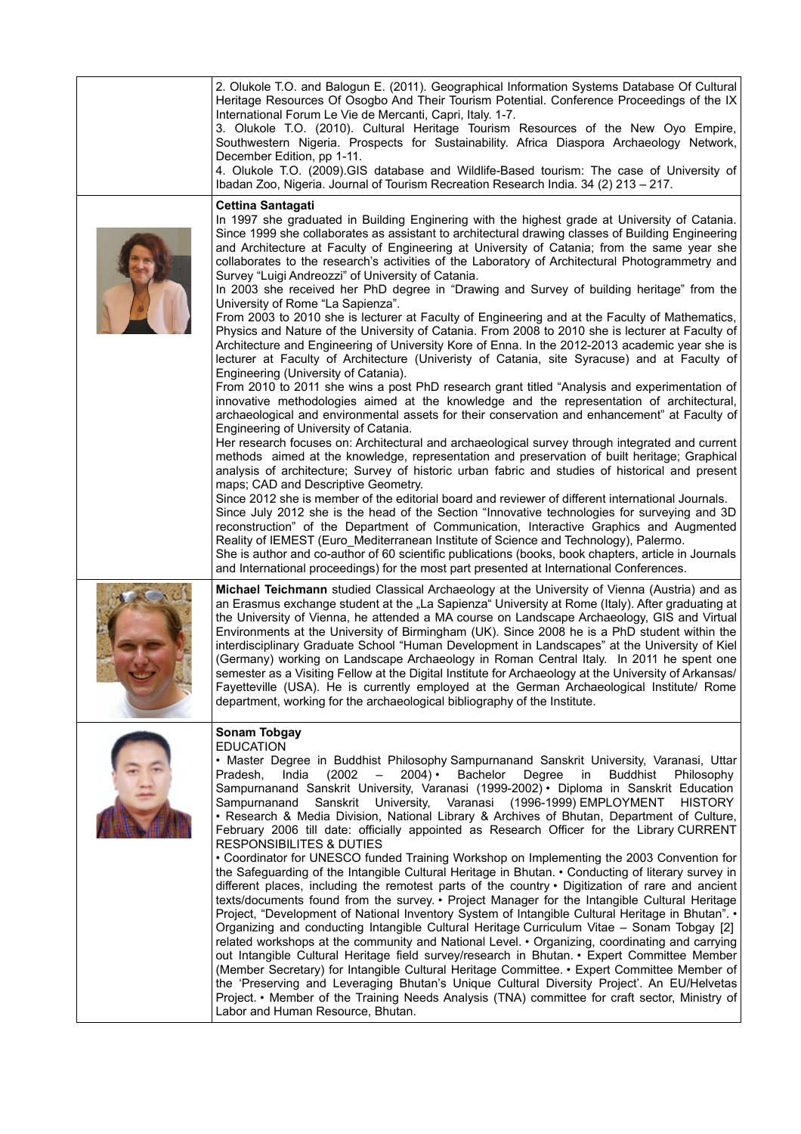| 2. Olukole T.O. and Balogun E. (2011). Geographical Information Systems Database Of Cultural<br>Heritage Resources Of Osogbo And Their Tourism Potential. Conference Proceedings of the IX<br>International Forum Le Vie de Mercanti, Capri, Italy. 1-7.<br>3. Olukole T.O. (2010). Cultural Heritage Tourism Resources of the New Oyo Empire,<br>Southwestern Nigeria. Prospects for Sustainability. Africa Diaspora Archaeology Network,<br>December Edition, pp 1-11.<br>4. Olukole T.O. (2009).GIS database and Wildlife-Based tourism: The case of University of<br>Ibadan Zoo, Nigeria. Journal of Tourism Recreation Research India. 34 (2) 213 - 217.                                                                                                                                                                                                                                                                                                                                                                                                                                                                                                                                                                                                                                                                                                                                                                                                                                                                                                                                                                                                                                                                                                                                                                                                                                                                                                                                                                                                                                                                                                                                                                                                                                                                                          |
|--------------------------------------------------------------------------------------------------------------------------------------------------------------------------------------------------------------------------------------------------------------------------------------------------------------------------------------------------------------------------------------------------------------------------------------------------------------------------------------------------------------------------------------------------------------------------------------------------------------------------------------------------------------------------------------------------------------------------------------------------------------------------------------------------------------------------------------------------------------------------------------------------------------------------------------------------------------------------------------------------------------------------------------------------------------------------------------------------------------------------------------------------------------------------------------------------------------------------------------------------------------------------------------------------------------------------------------------------------------------------------------------------------------------------------------------------------------------------------------------------------------------------------------------------------------------------------------------------------------------------------------------------------------------------------------------------------------------------------------------------------------------------------------------------------------------------------------------------------------------------------------------------------------------------------------------------------------------------------------------------------------------------------------------------------------------------------------------------------------------------------------------------------------------------------------------------------------------------------------------------------------------------------------------------------------------------------------------------------|
| <b>Cettina Santagati</b><br>In 1997 she graduated in Building Enginering with the highest grade at University of Catania.<br>Since 1999 she collaborates as assistant to architectural drawing classes of Building Engineering<br>and Architecture at Faculty of Engineering at University of Catania; from the same year she<br>collaborates to the research's activities of the Laboratory of Architectural Photogrammetry and<br>Survey "Luigi Andreozzi" of University of Catania.<br>In 2003 she received her PhD degree in "Drawing and Survey of building heritage" from the<br>University of Rome "La Sapienza".<br>From 2003 to 2010 she is lecturer at Faculty of Engineering and at the Faculty of Mathematics,<br>Physics and Nature of the University of Catania. From 2008 to 2010 she is lecturer at Faculty of<br>Architecture and Engineering of University Kore of Enna. In the 2012-2013 academic year she is<br>lecturer at Faculty of Architecture (Univeristy of Catania, site Syracuse) and at Faculty of<br>Engineering (University of Catania).<br>From 2010 to 2011 she wins a post PhD research grant titled "Analysis and experimentation of<br>innovative methodologies aimed at the knowledge and the representation of architectural,<br>archaeological and environmental assets for their conservation and enhancement" at Faculty of<br>Engineering of University of Catania.<br>Her research focuses on: Architectural and archaeological survey through integrated and current<br>methods aimed at the knowledge, representation and preservation of built heritage; Graphical<br>analysis of architecture; Survey of historic urban fabric and studies of historical and present<br>maps; CAD and Descriptive Geometry.<br>Since 2012 she is member of the editorial board and reviewer of different international Journals.<br>Since July 2012 she is the head of the Section "Innovative technologies for surveying and 3D<br>reconstruction" of the Department of Communication, Interactive Graphics and Augmented<br>Reality of IEMEST (Euro Mediterranean Institute of Science and Technology), Palermo.<br>She is author and co-author of 60 scientific publications (books, book chapters, article in Journals<br>and International proceedings) for the most part presented at International Conferences. |
| Michael Teichmann studied Classical Archaeology at the University of Vienna (Austria) and as<br>an Erasmus exchange student at the "La Sapienza" University at Rome (Italy). After graduating at<br>the University of Vienna, he attended a MA course on Landscape Archaeology, GIS and Virtual<br>Environments at the University of Birmingham (UK). Since 2008 he is a PhD student within the<br>interdisciplinary Graduate School "Human Development in Landscapes" at the University of Kiel<br>(Germany) working on Landscape Archaeology in Roman Central Italy. In 2011 he spent one<br>semester as a Visiting Fellow at the Digital Institute for Archaeology at the University of Arkansas/<br>Fayetteville (USA). He is currently employed at the German Archaeological Institute/ Rome<br>department, working for the archaeological bibliography of the Institute.                                                                                                                                                                                                                                                                                                                                                                                                                                                                                                                                                                                                                                                                                                                                                                                                                                                                                                                                                                                                                                                                                                                                                                                                                                                                                                                                                                                                                                                                         |
| <b>Sonam Tobgay</b><br><b>EDUCATION</b><br>. Master Degree in Buddhist Philosophy Sampurnanand Sanskrit University, Varanasi, Uttar<br>$2004) \cdot$<br>India<br>(2002)<br>Bachelor<br>Degree<br><b>Buddhist</b><br>Philosophy<br>Pradesh.<br>$\overline{\phantom{0}}$<br>in<br>Sampurnanand Sanskrit University, Varanasi (1999-2002) • Diploma in Sanskrit Education<br>Sanskrit University, Varanasi (1996-1999) EMPLOYMENT<br>Sampurnanand<br><b>HISTORY</b><br>. Research & Media Division, National Library & Archives of Bhutan, Department of Culture,<br>February 2006 till date: officially appointed as Research Officer for the Library CURRENT<br><b>RESPONSIBILITES &amp; DUTIES</b><br>• Coordinator for UNESCO funded Training Workshop on Implementing the 2003 Convention for<br>the Safeguarding of the Intangible Cultural Heritage in Bhutan. • Conducting of literary survey in<br>different places, including the remotest parts of the country • Digitization of rare and ancient<br>texts/documents found from the survey. • Project Manager for the Intangible Cultural Heritage<br>Project, "Development of National Inventory System of Intangible Cultural Heritage in Bhutan". •<br>Organizing and conducting Intangible Cultural Heritage Curriculum Vitae - Sonam Tobgay [2]<br>related workshops at the community and National Level. • Organizing, coordinating and carrying<br>out Intangible Cultural Heritage field survey/research in Bhutan. • Expert Committee Member<br>(Member Secretary) for Intangible Cultural Heritage Committee. • Expert Committee Member of<br>the 'Preserving and Leveraging Bhutan's Unique Cultural Diversity Project'. An EU/Helvetas<br>Project. • Member of the Training Needs Analysis (TNA) committee for craft sector, Ministry of<br>Labor and Human Resource, Bhutan.                                                                                                                                                                                                                                                                                                                                                                                                                                                                                                      |